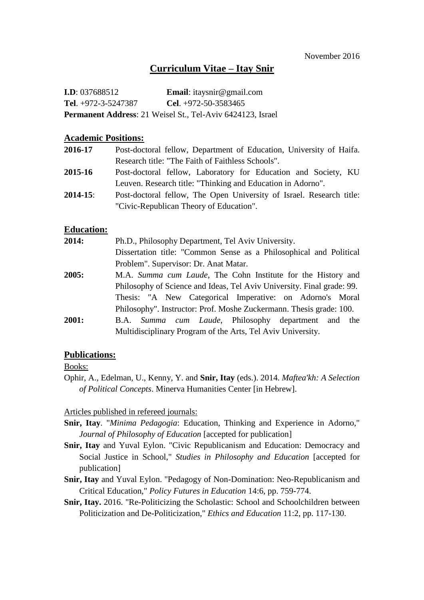## **Curriculum Vitae – Itay Snir**

| <b>I.D</b> : $037688512$     | <b>Email:</b> itaysnir@gmail.com                                  |
|------------------------------|-------------------------------------------------------------------|
| <b>Tel.</b> $+972-3-5247387$ | <b>Cel.</b> $+972-50-3583465$                                     |
|                              | <b>Permanent Address:</b> 21 Weisel St., Tel-Aviv 6424123, Israel |

### **Academic Positions:**

| 2016-17       | Post-doctoral fellow, Department of Education, University of Haifa.  |
|---------------|----------------------------------------------------------------------|
|               | Research title: "The Faith of Faithless Schools".                    |
| 2015-16       | Post-doctoral fellow, Laboratory for Education and Society, KU       |
|               | Leuven. Research title: "Thinking and Education in Adorno".          |
| $2014 - 15$ : | Post-doctoral fellow, The Open University of Israel. Research title: |
|               | "Civic-Republican Theory of Education".                              |

## **Education:**

| 2014: | Ph.D., Philosophy Department, Tel Aviv University.                     |  |
|-------|------------------------------------------------------------------------|--|
|       | Dissertation title: "Common Sense as a Philosophical and Political     |  |
|       | Problem". Supervisor: Dr. Anat Matar.                                  |  |
| 2005: | M.A. Summa cum Laude, The Cohn Institute for the History and           |  |
|       | Philosophy of Science and Ideas, Tel Aviv University. Final grade: 99. |  |
|       | Thesis: "A New Categorical Imperative: on Adorno's Moral               |  |
|       | Philosophy". Instructor: Prof. Moshe Zuckermann. Thesis grade: 100.    |  |
| 2001: | B.A. Summa cum Laude, Philosophy department and the                    |  |
|       | Multidisciplinary Program of the Arts, Tel Aviv University.            |  |

### **Publications:**

Books:

Ophir, A., Edelman, U., Kenny, Y. and **Snir, Itay** (eds.). 2014. *Maftea'kh: A Selection of Political Concepts*. Minerva Humanities Center [in Hebrew].

Articles published in refereed journals:

- **Snir, Itay**. "*Minima Pedagogia*: Education, Thinking and Experience in Adorno," *Journal of Philosophy of Education* [accepted for publication]
- **Snir, Itay** and Yuval Eylon. "Civic Republicanism and Education: Democracy and Social Justice in School," *Studies in Philosophy and Education* [accepted for publication]
- **Snir, Itay** and Yuval Eylon. "Pedagogy of Non-Domination: Neo-Republicanism and Critical Education," *Policy Futures in Education* 14:6, pp. 759-774.
- **Snir, Itay.** 2016. "Re-Politicizing the Scholastic: School and Schoolchildren between Politicization and De-Politicization," *Ethics and Education* 11:2, pp. 117-130.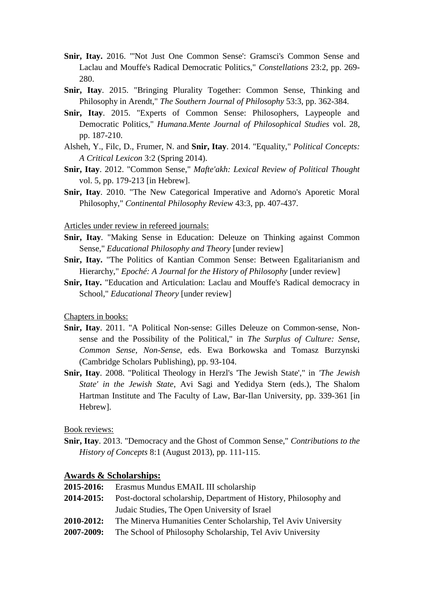- **Snir, Itay.** 2016. "'Not Just One Common Sense': Gramsci's Common Sense and Laclau and Mouffe's Radical Democratic Politics," *Constellations* 23:2, pp. 269- 280.
- **Snir, Itay**. 2015. "Bringing Plurality Together: Common Sense, Thinking and Philosophy in Arendt," *The Southern Journal of Philosophy* 53:3, pp. 362-384.
- **Snir, Itay**. 2015. "Experts of Common Sense: Philosophers, Laypeople and Democratic Politics," *Humana.Mente Journal of Philosophical Studies* vol. 28, pp. 187-210.
- Alsheh, Y., Filc, D., Frumer, N. and **Snir, Itay**. 2014. "Equality," *Political Concepts: A Critical Lexicon* 3:2 (Spring 2014).
- **Snir, Itay**. 2012. "Common Sense," *Mafte'akh: Lexical Review of Political Thought* vol. 5, pp. 179-213 [in Hebrew].
- **Snir, Itay**. 2010. "The New Categorical Imperative and Adorno's Aporetic Moral Philosophy," *Continental Philosophy Review* 43:3, pp. 407-437.

#### Articles under review in refereed journals:

- **Snir, Itay**. "Making Sense in Education: Deleuze on Thinking against Common Sense," *Educational Philosophy and Theory* [under review]
- **Snir, Itay.** "The Politics of Kantian Common Sense: Between Egalitarianism and Hierarchy," *Epoché: A Journal for the History of Philosophy* [under review]
- **Snir, Itay.** "Education and Articulation: Laclau and Mouffe's Radical democracy in School," *Educational Theory* [under review]

Chapters in books:

- **Snir, Itay**. 2011. "A Political Non-sense: Gilles Deleuze on Common-sense, Nonsense and the Possibility of the Political," in *The Surplus of Culture: Sense, Common Sense, Non-Sense*, eds. Ewa Borkowska and Tomasz Burzynski (Cambridge Scholars Publishing), pp. 93-104.
- **Snir, Itay**. 2008. "Political Theology in Herzl's 'The Jewish State'," in *'The Jewish State' in the Jewish State*, Avi Sagi and Yedidya Stern (eds.), The Shalom Hartman Institute and The Faculty of Law, Bar-Ilan University, pp. 339-361 [in Hebrew].

Book reviews:

**Snir, Itay**. 2013. "Democracy and the Ghost of Common Sense," *Contributions to the History of Concepts* 8:1 (August 2013), pp. 111-115.

### **Awards & Scholarships:**

- **2015-2016:** Erasmus Mundus EMAIL III scholarship
- **2014-2015:** Post-doctoral scholarship, Department of History, Philosophy and Judaic Studies, The Open University of Israel
- **2010-2012:** The Minerva Humanities Center Scholarship, Tel Aviv University
- **2007-2009:** The School of Philosophy Scholarship, Tel Aviv University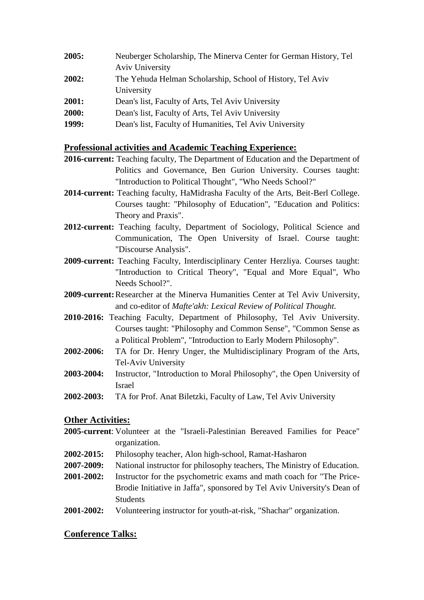| 2005: | Neuberger Scholarship, The Minerva Center for German History, Tel |
|-------|-------------------------------------------------------------------|
|       | Aviv University                                                   |
| 2002: | The Yehuda Helman Scholarship, School of History, Tel Aviv        |
|       | University                                                        |
| 2001: | Dean's list, Faculty of Arts, Tel Aviv University                 |
| 2000: | Dean's list, Faculty of Arts, Tel Aviv University                 |
| 1999: | Dean's list, Faculty of Humanities, Tel Aviv University           |

## **Professional activities and Academic Teaching Experience:**

- **2016-current:** Teaching faculty, The Department of Education and the Department of Politics and Governance, Ben Gurion University. Courses taught: "Introduction to Political Thought", "Who Needs School?"
- **2014-current:** Teaching faculty, HaMidrasha Faculty of the Arts, Beit-Berl College. Courses taught: "Philosophy of Education", "Education and Politics: Theory and Praxis".
- **2012-current:** Teaching faculty, Department of Sociology, Political Science and Communication, The Open University of Israel. Course taught: "Discourse Analysis".
- **2009-current:** Teaching Faculty, Interdisciplinary Center Herzliya. Courses taught: "Introduction to Critical Theory", "Equal and More Equal", Who Needs School?".
- **2009-current:**Researcher at the Minerva Humanities Center at Tel Aviv University, and co-editor of *Mafte'akh: Lexical Review of Political Thought.*
- **2010-2016:** Teaching Faculty, Department of Philosophy, Tel Aviv University. Courses taught: "Philosophy and Common Sense", "Common Sense as a Political Problem", "Introduction to Early Modern Philosophy".
- **2002-2006:** TA for Dr. Henry Unger, the Multidisciplinary Program of the Arts, Tel-Aviv University
- **2003-2004:** Instructor, "Introduction to Moral Philosophy", the Open University of Israel
- **2002-2003:** TA for Prof. Anat Biletzki, Faculty of Law, Tel Aviv University

# **Other Activities:**

- **2005-current**: Volunteer at the "Israeli-Palestinian Bereaved Families for Peace" organization.
- **2002-2015:** Philosophy teacher, Alon high-school, Ramat-Hasharon
- **2007-2009:** National instructor for philosophy teachers, The Ministry of Education.
- **2001-2002:** Instructor for the psychometric exams and math coach for "The Price-Brodie Initiative in Jaffa", sponsored by Tel Aviv University's Dean of Students
- **2001-2002:** Volunteering instructor for youth-at-risk, "Shachar" organization.

# **Conference Talks:**